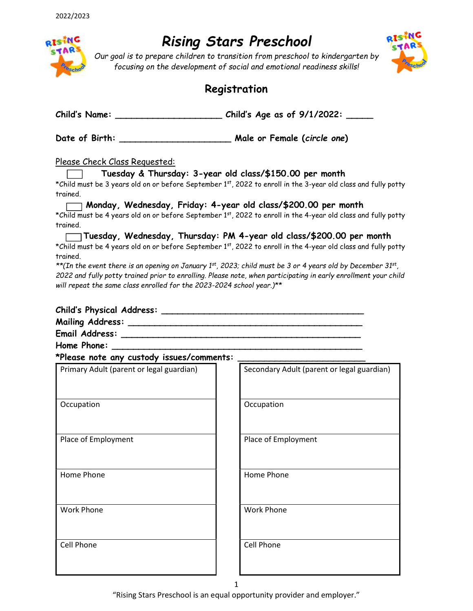

# Rising Stars Preschool

Our goal is to prepare children to transition from preschool to kindergarten by focusing on the development of social and emotional readiness skills!



### Registration

Child's Name: \_\_\_\_\_\_\_\_\_\_\_\_\_\_\_\_\_\_\_\_\_\_\_\_\_\_\_\_\_\_\_\_\_\_Child's Age as of 9/1/2022: \_\_\_\_\_

Date of Birth: \_\_\_\_\_\_\_\_\_\_\_\_\_\_\_\_\_\_\_\_\_ Male or Female (circle one)

Please Check Class Requested:

Tuesday & Thursday: 3-year old class/\$150.00 per month

\*Child must be 3 years old on or before September 1st, 2022 to enroll in the 3-year old class and fully potty trained.

Monday, Wednesday, Friday: 4-year old class/\$200.00 per month \*Child must be 4 years old on or before September 1st, 2022 to enroll in the 4-year old class and fully potty trained.

Tuesday, Wednesday, Thursday: PM 4-year old class/\$200.00 per month \*Child must be 4 years old on or before September 1st, 2022 to enroll in the 4-year old class and fully potty trained.

\*\*(In the event there is an opening on January 1<sup>st</sup>, 2023; child must be 3 or 4 years old by December 31<sup>st</sup>, 2022 and fully potty trained prior to enrolling. Please note, when participating in early enrollment your child will repeat the same class enrolled for the 2023-2024 school year.)\*\*

| <b>Child's Physical Address:</b> |  |
|----------------------------------|--|
| <b>Mailing Address:</b>          |  |
| Email Address:                   |  |
| Home Phone:                      |  |

\*Please note any custody issues/comments: \_\_\_\_\_\_\_\_\_\_\_\_\_\_\_\_\_\_\_\_\_\_\_\_

| Primary Adult (parent or legal guardian) | Secondary Adult (parent or legal guardian) |
|------------------------------------------|--------------------------------------------|
| Occupation                               | Occupation                                 |
| Place of Employment                      | Place of Employment                        |
| Home Phone                               | Home Phone                                 |
| <b>Work Phone</b>                        | <b>Work Phone</b>                          |
| Cell Phone                               | Cell Phone                                 |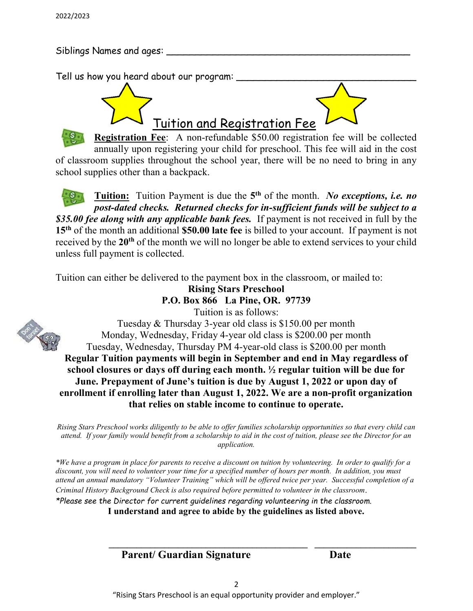Siblings Names and ages:

Tell us how you heard about our program:



Registration Fee: A non-refundable \$50.00 registration fee will be collected annually upon registering your child for preschool. This fee will aid in the cost of classroom supplies throughout the school year, there will be no need to bring in any school supplies other than a backpack.

Tuition: Tuition Payment is due the 5<sup>th</sup> of the month. No exceptions, i.e. no post-dated checks. Returned checks for in-sufficient funds will be subject to a \$35.00 fee along with any applicable bank fees. If payment is not received in full by the 15<sup>th</sup> of the month an additional \$50.00 late fee is billed to your account. If payment is not received by the 20<sup>th</sup> of the month we will no longer be able to extend services to your child unless full payment is collected.

Tuition can either be delivered to the payment box in the classroom, or mailed to:

Rising Stars Preschool

P.O. Box 866 La Pine, OR. 97739

Tuition is as follows:

Tuesday & Thursday 3-year old class is \$150.00 per month Monday, Wednesday, Friday 4-year old class is \$200.00 per month Tuesday, Wednesday, Thursday PM 4-year-old class is \$200.00 per month Regular Tuition payments will begin in September and end in May regardless of school closures or days off during each month. ½ regular tuition will be due for June. Prepayment of June's tuition is due by August 1, 2022 or upon day of enrollment if enrolling later than August 1, 2022. We are a non-profit organization that relies on stable income to continue to operate.

Rising Stars Preschool works diligently to be able to offer families scholarship opportunities so that every child can attend. If your family would benefit from a scholarship to aid in the cost of tuition, please see the Director for an application.

\*We have a program in place for parents to receive a discount on tuition by volunteering. In order to qualify for a discount, you will need to volunteer your time for a specified number of hours per month. In addition, you must attend an annual mandatory "Volunteer Training" which will be offered twice per year. Successful completion of a Criminal History Background Check is also required before permitted to volunteer in the classroom. \*Please see the Director for current guidelines regarding volunteering in the classroom. I understand and agree to abide by the guidelines as listed above.

Parent/ Guardian Signature Date



 $\mathcal{L}_\text{max} = \frac{1}{2} \sum_{i=1}^{n} \frac{1}{2} \sum_{i=1}^{n} \frac{1}{2} \sum_{i=1}^{n} \frac{1}{2} \sum_{i=1}^{n} \frac{1}{2} \sum_{i=1}^{n} \frac{1}{2} \sum_{i=1}^{n} \frac{1}{2} \sum_{i=1}^{n} \frac{1}{2} \sum_{i=1}^{n} \frac{1}{2} \sum_{i=1}^{n} \frac{1}{2} \sum_{i=1}^{n} \frac{1}{2} \sum_{i=1}^{n} \frac{1}{2} \sum_{i=1}^{n} \frac{1$ 

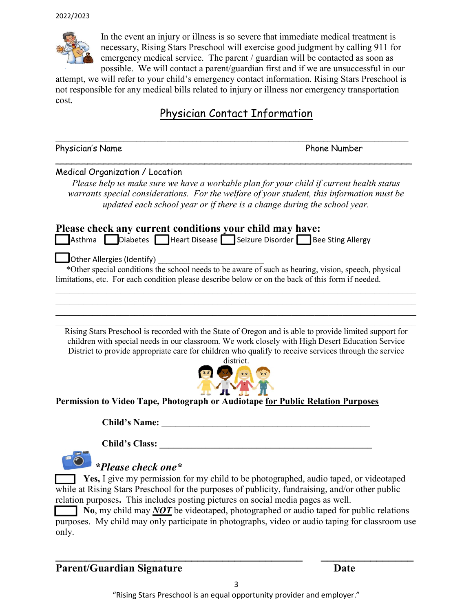

In the event an injury or illness is so severe that immediate medical treatment is necessary, Rising Stars Preschool will exercise good judgment by calling 911 for emergency medical service. The parent / guardian will be contacted as soon as possible. We will contact a parent/guardian first and if we are unsuccessful in our

attempt, we will refer to your child's emergency contact information. Rising Stars Preschool is not responsible for any medical bills related to injury or illness nor emergency transportation cost.

## Physician Contact Information

 $\_$  , and the set of the set of the set of the set of the set of the set of the set of the set of the set of the set of the set of the set of the set of the set of the set of the set of the set of the set of the set of th

 $\overline{\phantom{a}}$ 

Physician's Name **Phone Number** 

#### Medical Organization / Location

Please help us make sure we have a workable plan for your child if current health status warrants special considerations. For the welfare of your student, this information must be updated each school year or if there is a change during the school year.

#### Please check any current conditions your child may have:

Asthma **Diabetes Heart Disease Seizure Disorder** Bee Sting Allergy

Other Allergies (Identify) \_\_\_\_\_\_\_\_\_\_\_\_\_\_\_\_\_\_\_\_\_\_\_\_\_

 \*Other special conditions the school needs to be aware of such as hearing, vision, speech, physical limitations, etc. For each condition please describe below or on the back of this form if needed.

Rising Stars Preschool is recorded with the State of Oregon and is able to provide limited support for children with special needs in our classroom. We work closely with High Desert Education Service District to provide appropriate care for children who qualify to receive services through the service

 $\mathcal{L}_\mathcal{L} = \mathcal{L}_\mathcal{L} = \mathcal{L}_\mathcal{L} = \mathcal{L}_\mathcal{L} = \mathcal{L}_\mathcal{L} = \mathcal{L}_\mathcal{L} = \mathcal{L}_\mathcal{L} = \mathcal{L}_\mathcal{L} = \mathcal{L}_\mathcal{L} = \mathcal{L}_\mathcal{L} = \mathcal{L}_\mathcal{L} = \mathcal{L}_\mathcal{L} = \mathcal{L}_\mathcal{L} = \mathcal{L}_\mathcal{L} = \mathcal{L}_\mathcal{L} = \mathcal{L}_\mathcal{L} = \mathcal{L}_\mathcal{L}$ 

 $\mathcal{L}_\mathcal{L} = \mathcal{L}_\mathcal{L} = \mathcal{L}_\mathcal{L} = \mathcal{L}_\mathcal{L} = \mathcal{L}_\mathcal{L} = \mathcal{L}_\mathcal{L} = \mathcal{L}_\mathcal{L} = \mathcal{L}_\mathcal{L} = \mathcal{L}_\mathcal{L} = \mathcal{L}_\mathcal{L} = \mathcal{L}_\mathcal{L} = \mathcal{L}_\mathcal{L} = \mathcal{L}_\mathcal{L} = \mathcal{L}_\mathcal{L} = \mathcal{L}_\mathcal{L} = \mathcal{L}_\mathcal{L} = \mathcal{L}_\mathcal{L}$ 



Permission to Video Tape, Photograph or Audiotape for Public Relation Purposes

Child's Name: \_\_\_\_\_\_\_\_\_\_\_\_\_\_\_\_\_\_\_\_\_\_\_\_\_\_\_\_\_\_\_\_\_\_\_\_\_\_\_\_\_\_\_\_\_

Child's Class: \_\_\_\_\_\_\_\_\_\_\_\_\_\_\_\_\_\_\_\_\_\_\_\_\_\_\_\_\_\_\_\_\_\_\_\_\_\_\_\_\_\_\_\_\_\_



### \*Please check one\*

Yes, I give my permission for my child to be photographed, audio taped, or videotaped while at Rising Stars Preschool for the purposes of publicity, fundraising, and/or other public relation purposes. This includes posting pictures on social media pages as well.

 $\Box$  No, my child may *NOT* be videotaped, photographed or audio taped for public relations purposes. My child may only participate in photographs, video or audio taping for classroom use only.

 $\frac{1}{2}$  ,  $\frac{1}{2}$  ,  $\frac{1}{2}$  ,  $\frac{1}{2}$  ,  $\frac{1}{2}$  ,  $\frac{1}{2}$  ,  $\frac{1}{2}$  ,  $\frac{1}{2}$  ,  $\frac{1}{2}$  ,  $\frac{1}{2}$  ,  $\frac{1}{2}$  ,  $\frac{1}{2}$  ,  $\frac{1}{2}$  ,  $\frac{1}{2}$  ,  $\frac{1}{2}$  ,  $\frac{1}{2}$  ,  $\frac{1}{2}$  ,  $\frac{1}{2}$  ,  $\frac{1$ 

### Parent/Guardian Signature Date